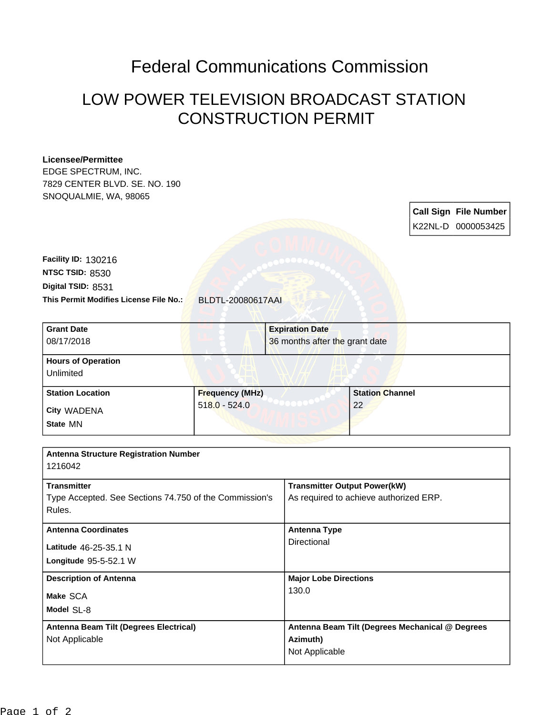## Federal Communications Commission

## LOW POWER TELEVISION BROADCAST STATION CONSTRUCTION PERMIT

## **Licensee/Permittee**

EDGE SPECTRUM, INC. 7829 CENTER BLVD. SE. NO. 190 SNOQUALMIE, WA, 98065

> **Call Sign File Number** K22NL-D 0000053425

**This Permit Modifies License File No.:** BLDTL-20080617AAI **Digital TSID:** 8531 **NTSC TSID:** 8530 **Facility ID:** 130216

| <b>Grant Date</b><br>08/17/2018        |                        | <b>Expiration Date</b><br>36 months after the grant date |  |  |
|----------------------------------------|------------------------|----------------------------------------------------------|--|--|
| <b>Hours of Operation</b><br>Unlimited |                        |                                                          |  |  |
| <b>Station Location</b>                | <b>Frequency (MHz)</b> | <b>Station Channel</b>                                   |  |  |
| City WADENA                            | $518.0 - 524.0$        | 22                                                       |  |  |
| State MN                               |                        |                                                          |  |  |

| <b>Antenna Structure Registration Number</b><br>1216042                                |                                                                               |
|----------------------------------------------------------------------------------------|-------------------------------------------------------------------------------|
| <b>Transmitter</b><br>Type Accepted. See Sections 74.750 of the Commission's<br>Rules. | <b>Transmitter Output Power(kW)</b><br>As required to achieve authorized ERP. |
| <b>Antenna Coordinates</b><br>Latitude 46-25-35.1 N<br>Longitude $95-5-52.1$ W         | <b>Antenna Type</b><br>Directional                                            |
| <b>Description of Antenna</b><br>Make SCA<br>Model SL-8                                | <b>Major Lobe Directions</b><br>130.0                                         |
| Antenna Beam Tilt (Degrees Electrical)<br>Not Applicable                               | Antenna Beam Tilt (Degrees Mechanical @ Degrees<br>Azimuth)<br>Not Applicable |